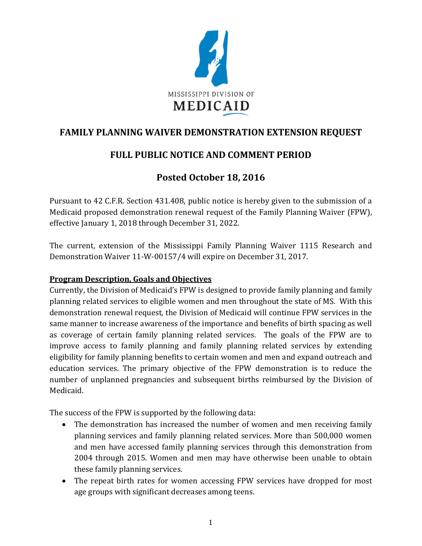

## **FAMILY PLANNING WAIVER DEMONSTRATION EXTENSION REQUEST**

## **FULL PUBLIC NOTICE AND COMMENT PERIOD**

# **Posted October 18, 2016**

Pursuant to 42 C.F.R. Section 431.408, public notice is hereby given to the submission of a Medicaid proposed demonstration renewal request of the Family Planning Waiver (FPW), effective January 1, 2018 through December 31, 2022.

The current, extension of the Mississippi Family Planning Waiver 1115 Research and Demonstration Waiver 11-W-00157/4 will expire on December 31, 2017.

### **Program Description, Goals and Objectives**

Currently, the Division of Medicaid's FPW is designed to provide family planning and family planning related services to eligible women and men throughout the state of MS. With this demonstration renewal request, the Division of Medicaid will continue FPW services in the same manner to increase awareness of the importance and benefits of birth spacing as well as coverage of certain family planning related services. The goals of the FPW are to improve access to family planning and family planning related services by extending eligibility for family planning benefits to certain women and men and expand outreach and education services. The primary objective of the FPW demonstration is to reduce the number of unplanned pregnancies and subsequent births reimbursed by the Division of Medicaid.

The success of the FPW is supported by the following data:

- The demonstration has increased the number of women and men receiving family planning services and family planning related services. More than 500,000 women and men have accessed family planning services through this demonstration from 2004 through 2015. Women and men may have otherwise been unable to obtain these family planning services.
- The repeat birth rates for women accessing FPW services have dropped for most age groups with significant decreases among teens.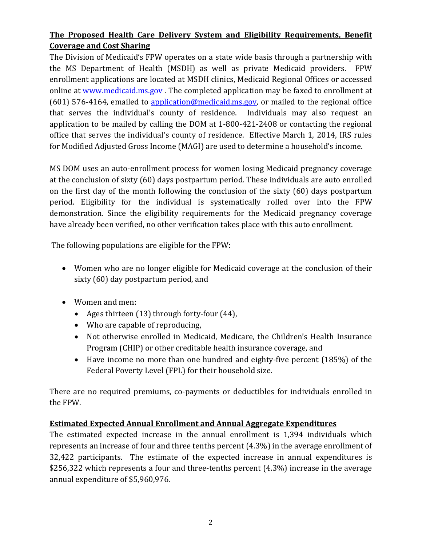### **The Proposed Health Care Delivery System and Eligibility Requirements, Benefit Coverage and Cost Sharing**

The Division of Medicaid's FPW operates on a state wide basis through a partnership with the MS Department of Health (MSDH) as well as private Medicaid providers. FPW enrollment applications are located at MSDH clinics, Medicaid Regional Offices or accessed online at [www.medicaid.ms.gov](http://www.medicaid.ms.gov/). The completed application may be faxed to enrollment at  $(601)$  576-4164, emailed to [application@medicaid.ms.gov,](mailto:application@medicaid.ms.gov) or mailed to the regional office that serves the individual's county of residence. Individuals may also request an application to be mailed by calling the DOM at 1-800-421-2408 or contacting the regional office that serves the individual's county of residence. Effective March 1, 2014, IRS rules for Modified Adjusted Gross Income (MAGI) are used to determine a household's income.

MS DOM uses an auto-enrollment process for women losing Medicaid pregnancy coverage at the conclusion of sixty (60) days postpartum period. These individuals are auto enrolled on the first day of the month following the conclusion of the sixty (60) days postpartum period. Eligibility for the individual is systematically rolled over into the FPW demonstration. Since the eligibility requirements for the Medicaid pregnancy coverage have already been verified, no other verification takes place with this auto enrollment.

The following populations are eligible for the FPW:

- Women who are no longer eligible for Medicaid coverage at the conclusion of their sixty (60) day postpartum period, and
- Women and men:
	- Ages thirteen (13) through forty-four (44),
	- Who are capable of reproducing,
	- Not otherwise enrolled in Medicaid, Medicare, the Children's Health Insurance Program (CHIP) or other creditable health insurance coverage, and
	- Have income no more than one hundred and eighty-five percent (185%) of the Federal Poverty Level (FPL) for their household size.

There are no required premiums, co-payments or deductibles for individuals enrolled in the FPW.

### **Estimated Expected Annual Enrollment and Annual Aggregate Expenditures**

The estimated expected increase in the annual enrollment is 1,394 individuals which represents an increase of four and three tenths percent (4.3%) in the average enrollment of 32,422 participants. The estimate of the expected increase in annual expenditures is \$256,322 which represents a four and three-tenths percent (4.3%) increase in the average annual expenditure of \$5,960,976.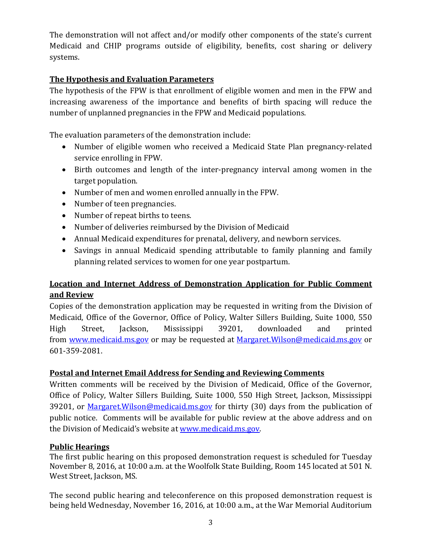The demonstration will not affect and/or modify other components of the state's current Medicaid and CHIP programs outside of eligibility, benefits, cost sharing or delivery systems.

#### **The Hypothesis and Evaluation Parameters**

The hypothesis of the FPW is that enrollment of eligible women and men in the FPW and increasing awareness of the importance and benefits of birth spacing will reduce the number of unplanned pregnancies in the FPW and Medicaid populations.

The evaluation parameters of the demonstration include:

- Number of eligible women who received a Medicaid State Plan pregnancy-related service enrolling in FPW.
- Birth outcomes and length of the inter-pregnancy interval among women in the target population.
- Number of men and women enrolled annually in the FPW.
- Number of teen pregnancies.
- Number of repeat births to teens.
- Number of deliveries reimbursed by the Division of Medicaid
- Annual Medicaid expenditures for prenatal, delivery, and newborn services.
- Savings in annual Medicaid spending attributable to family planning and family planning related services to women for one year postpartum.

### **Location and Internet Address of Demonstration Application for Public Comment and Review**

Copies of the demonstration application may be requested in writing from the Division of Medicaid, Office of the Governor, Office of Policy, Walter Sillers Building, Suite 1000, 550 High Street, Jackson, Mississippi 39201, downloaded and printed from [www.medicaid.ms.gov](http://www.medicaid.ms.gov/) or may be requested at [Margaret.Wilson@medicaid.ms.gov](mailto:Margaret.Wilson@medicaid.ms.gov) or 601-359-2081.

### **Postal and Internet Email Address for Sending and Reviewing Comments**

Written comments will be received by the Division of Medicaid, Office of the Governor, Office of Policy, Walter Sillers Building, Suite 1000, 550 High Street, Jackson, Mississippi 39201, or Margaret. Wilson@medicaid.ms.gov for thirty (30) days from the publication of public notice. Comments will be available for public review at the above address and on the Division of Medicaid's website at [www.medicaid.ms.gov.](http://www.medicaid.ms.gov/)

#### **Public Hearings**

The first public hearing on this proposed demonstration request is scheduled for Tuesday November 8, 2016, at 10:00 a.m. at the Woolfolk State Building, Room 145 located at 501 N. West Street, Jackson, MS.

The second public hearing and teleconference on this proposed demonstration request is being held Wednesday, November 16, 2016, at 10:00 a.m., at the War Memorial Auditorium